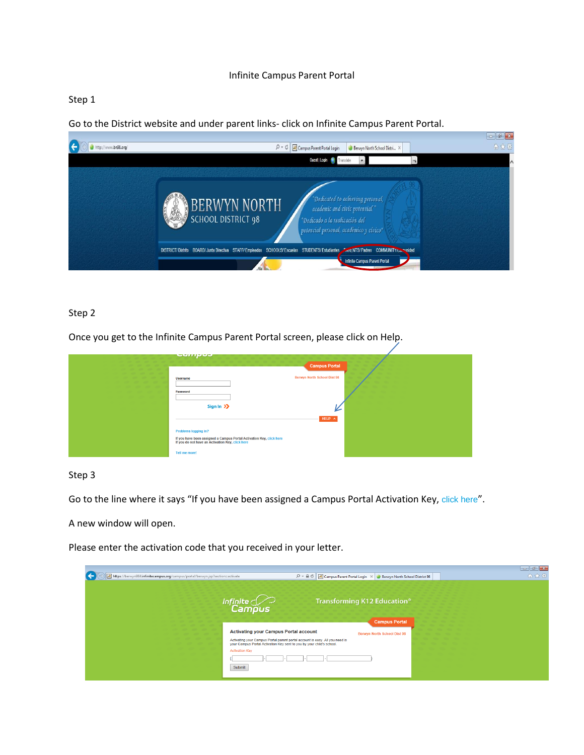### Infinite Campus Parent Portal

### Step 1

Go to the District website and under parent links- click on Infinite Campus Parent Portal.



### Step 2

Once you get to the Infinite Campus Parent Portal screen, please click on Help.

| عجبرسيجي                                                                                                                                         | <b>Campus Portal</b>               |  |
|--------------------------------------------------------------------------------------------------------------------------------------------------|------------------------------------|--|
| <b>Username</b>                                                                                                                                  | <b>Berwyn North School Dist 98</b> |  |
| Password<br>Sign In $\sum$                                                                                                                       | ∼                                  |  |
|                                                                                                                                                  | HELP $\land$                       |  |
| Problems logging in?<br>If you have been assigned a Campus Portal Activation Key, click here<br>If you do not have an Activation Key, click here |                                    |  |
| Tell me more!                                                                                                                                    |                                    |  |

### Step 3

Go to the line where it says "If you have been assigned a Campus Portal Activation Key, [click here](https://berwyn98il.infinitecampus.org/campus/portal/berwyn.jsp?section=activate)".

A new window will open.

Please enter the activation code that you received in your letter.

| https://berwyn98il.infinitecampus.org/campus/portal/berwyn.jsp?section=activate | $\mathcal{P} = \mathcal{C} \times \mathcal{C}$ Campus Parent Portal Login $\times$                                                                 | Berwyn North School District 98                                                                | 命女意 |
|---------------------------------------------------------------------------------|----------------------------------------------------------------------------------------------------------------------------------------------------|------------------------------------------------------------------------------------------------|-----|
| Infinite                                                                        | Campus<br><b>Activating your Campus Portal account</b>                                                                                             | Transforming K12 Education <sup>®</sup><br><b>Campus Portal</b><br>Berwyn North School Dist 98 |     |
| <b>Activation Kev</b><br>Submit                                                 | Activating your Campus Portal parent portal account is easy. All you need is your Campus Portal Activation Key sent to you by your child's school. |                                                                                                |     |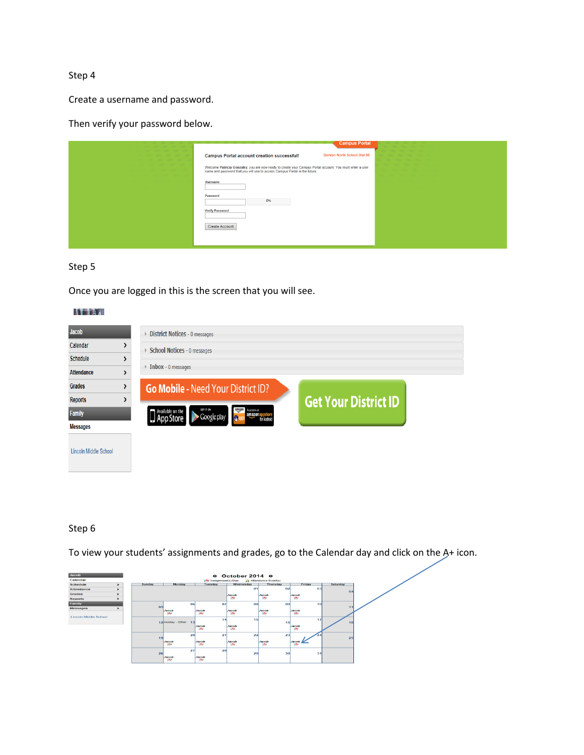Create a username and password.

Then verify your password below.

| <b>Campus Portal</b>                                                                                                                                                                   |  |
|----------------------------------------------------------------------------------------------------------------------------------------------------------------------------------------|--|
| Berwyn North School Dist 98<br><b>Campus Portal account creation successful!</b>                                                                                                       |  |
| Welcome Patricia Gonzalez, you are now ready to create your Campus Portal account. You must enter a user<br>name and password that you will use to access Campus Portal in the future. |  |
| <b>Username</b>                                                                                                                                                                        |  |
| Password<br>0%                                                                                                                                                                         |  |
| <b>Verify Password</b>                                                                                                                                                                 |  |
| <b>Create Account</b>                                                                                                                                                                  |  |
|                                                                                                                                                                                        |  |

## Step 5

Once you are logged in this is the screen that you will see.

### **ATTA**

| <b>Jacob</b>          | District Notices - 0 messages                                                                  |                             |
|-----------------------|------------------------------------------------------------------------------------------------|-----------------------------|
| Calendar              | <b>School Notices - 0 messages</b>                                                             |                             |
| <b>Schedule</b>       |                                                                                                |                             |
| <b>Attendance</b>     | $\triangleright$ Inbox - 0 messages                                                            |                             |
| <b>Grades</b>         | <b>Go Mobile - Need Your District ID?</b>                                                      |                             |
| <b>Reports</b>        |                                                                                                | <b>Get Your District ID</b> |
| <b>Family</b>         | amazon<br>GET IT ON<br>Available at<br>Available on the<br>App Store<br>Google play<br>amazona |                             |
| <b>Messages</b>       |                                                                                                |                             |
| Lincoln Middle School |                                                                                                |                             |

# Step 6

To view your students' assignments and grades, go to the Calendar day and click on the A+ icon.

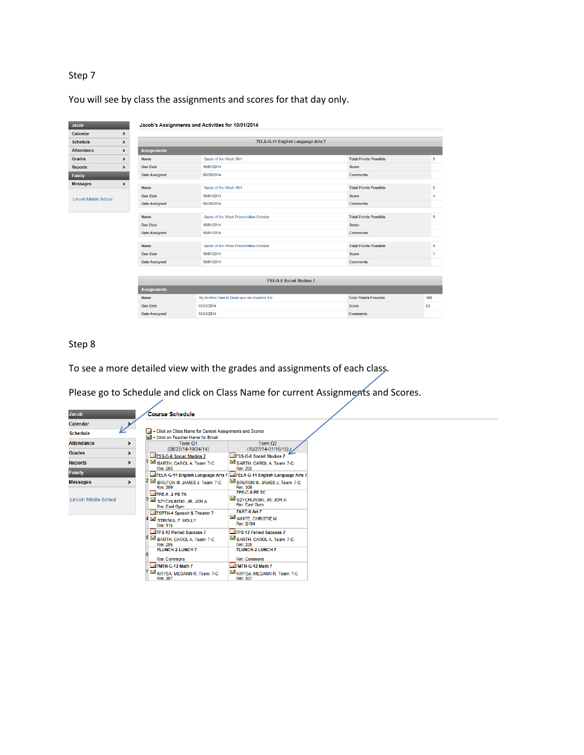You will see by class the assignments and scores for that day only.

| <b>Jacob</b>          |               |                      | Jacob's Assignments and Activities for 10/01/2014 |                              |                |
|-----------------------|---------------|----------------------|---------------------------------------------------|------------------------------|----------------|
| Calendar              | $\rightarrow$ |                      |                                                   |                              |                |
| <b>Schedule</b>       | >             |                      | 7ELA-G-11 English Language Arts 7                 |                              |                |
| <b>Attendance</b>     | $\rightarrow$ | <b>Assignments</b>   |                                                   |                              |                |
| <b>Grades</b>         | $\rightarrow$ | <b>Name</b>          | Quote of the Week 10/1                            | <b>Total Points Possible</b> | 5              |
| <b>Reports</b>        | $\rightarrow$ | <b>Due Date</b>      | 10/01/2014                                        | Score                        |                |
| Family                |               | <b>Date Assigned</b> | 09/29/2014                                        | <b>Comments</b>              |                |
| <b>Messages</b>       | $\rightarrow$ | <b>Name</b>          | Quote of the Week 10/1                            | <b>Total Points Possible</b> | 5              |
| Lincoln Middle School |               | <b>Due Date</b>      | 10/01/2014                                        | <b>Score</b>                 | 4              |
|                       |               | <b>Date Assigned</b> | 09/29/2014                                        | <b>Comments</b>              |                |
|                       |               | <b>Name</b>          | Quote of the Week Presentation October            | <b>Total Points Possible</b> | 9              |
|                       |               | <b>Due Date</b>      | 10/01/2014                                        | Score                        |                |
|                       |               | <b>Date Assigned</b> | 10/01/2014                                        | <b>Comments</b>              |                |
|                       |               |                      |                                                   |                              |                |
|                       |               | Name                 | Quote of the Week Presentation October            | <b>Total Points Possible</b> | 9              |
|                       |               | <b>Due Date</b>      | 10/01/2014                                        | <b>Score</b>                 | $\overline{7}$ |
|                       |               | <b>Date Assigned</b> | 10/01/2014                                        | <b>Comments</b>              |                |
|                       |               |                      | 7SS-G-6 Social Studies 7                          |                              |                |
|                       |               | <b>Assignments</b>   |                                                   |                              |                |
|                       |               | <b>Name</b>          | My Brother Sam Is Dead quiz on chapters 1-6       | <b>Total Points Possible</b> | 100            |
|                       |               | <b>Due Date</b>      | 10/01/2014                                        | Score                        | 63             |
|                       |               | <b>Date Assigned</b> | 10/01/2014                                        | <b>Comments</b>              |                |

# Step 8

To see a more detailed view with the grades and assignments of each class.

Please go to Schedule and click on Class Name for current Assignments and Scores.

| Jacob                 |               | <b>Course Schedule</b>                                                                        |                                                                       |
|-----------------------|---------------|-----------------------------------------------------------------------------------------------|-----------------------------------------------------------------------|
| Calendar              |               |                                                                                               |                                                                       |
| <b>Schedule</b>       |               | - Click on Class Name for Current Assignments and Scores<br>= Click on Teacher Name for Email |                                                                       |
| <b>Attendance</b>     | >             | Term O1<br>(08/27/14-10/24/14)                                                                | Term Q <sub>2</sub><br>$(10/27/14 - 01/16/15)$                        |
| Grades                | $\rightarrow$ | 7 SS-G-6 Social Studies 7                                                                     | 75S-G-6 Social Studies 7                                              |
| <b>Reports</b>        | >             | BARTH, CAROL A, Team: 7-C<br>Rm: 205                                                          | BARTH, CAROL A, Team: 7-C<br>Rm: 205                                  |
| <b>Family</b>         |               |                                                                                               | 77ELA-G-11 English Language Arts 7 27ELA-G-11 English Language Arts 7 |
| <b>Messages</b>       | $\mathbf{r}$  | BRUTON III, JAMES J, Team: 7-C<br>Rm: 309                                                     | BRUTON III, JAMES J, Team: 7-C<br>Rm: 309                             |
|                       |               | <b>77PE-A-2 PE 7A</b>                                                                         | <b>7PE-C-5 PE 7C</b>                                                  |
| Lincoln Middle School |               | SZYCHLINSKI, JR, JON A<br>Rm: East Gym                                                        | SZYCHLINSKI, JR, JON A<br>Rm: East Gym                                |
|                       |               | 77 SPTH-4 Speech & Theater 7                                                                  | <b>7ART-6 Art 7</b>                                                   |
|                       |               | STRISKA, F. HOLLY<br>Rm: 115                                                                  | WHITE, CHRISTIE M<br>Rm: B104                                         |
|                       |               | 77PS-13 Period Success 7                                                                      | <b>Z7PS-13 Period Success 7</b>                                       |
|                       |               | BARTH, CAROL A, Team: 7-C<br>Rm: 205                                                          | BARTH, CAROL A, Team: 7-C<br>Rm: 205                                  |
|                       |               | <b>7LUNCH-2 LUNCH 7</b>                                                                       | <b>7LUNCH-2 LUNCH 7</b>                                               |
|                       |               | <b>Rm: Commons</b>                                                                            | <b>Rm: Commons</b>                                                    |
|                       |               | 7MTH-G-12 Math 7                                                                              | 7MTH-G-12 Math 7                                                      |
|                       |               | KRYSA, MEGANN R, Team: 7-C<br>Rm: 307                                                         | KRYSA, MEGANN R, Team: 7-C<br>Rm: 307                                 |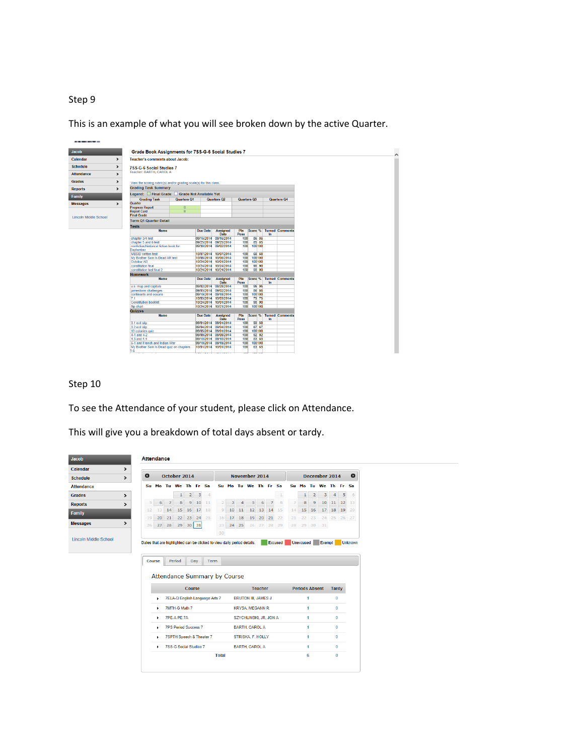This is an example of what you will see broken down by the active Quarter.



### Step 10

To see the Attendance of your student, please click on Attendance.

This will give you a breakdown of total days absent or tardy.

| Jacob                        |               | <b>Attendance</b>                                                       |                      |                        |                             |                |              |                                |                                     |    |       |                            |                |                |                |    |                       |                |    |               |          |                |
|------------------------------|---------------|-------------------------------------------------------------------------|----------------------|------------------------|-----------------------------|----------------|--------------|--------------------------------|-------------------------------------|----|-------|----------------------------|----------------|----------------|----------------|----|-----------------------|----------------|----|---------------|----------|----------------|
| Calendar                     | $\rightarrow$ |                                                                         |                      |                        |                             |                |              |                                |                                     |    |       |                            |                |                |                |    |                       |                |    |               |          |                |
| <b>Schedule</b>              | $\rightarrow$ | $\bullet$                                                               |                      | October 2014           |                             |                |              |                                |                                     |    |       | <b>November 2014</b>       |                |                |                |    |                       |                |    | December 2014 |          | $\bullet$      |
| <b>Attendance</b>            |               |                                                                         | Su Mo Tu We Th Fr Sa |                        |                             |                |              |                                |                                     |    |       | Su Mo Tu We Th Fr Sa       |                |                |                |    | Su Mo Tu We Th Fr Sa  |                |    |               |          |                |
| <b>Grades</b>                | >             |                                                                         |                      |                        | $\mathbf{1}$                | $\overline{2}$ | $\mathbf{3}$ | $\overline{4}$                 |                                     |    |       |                            |                |                |                |    | $\mathbf{1}$          | $\overline{2}$ | 3  | 4             | 5        | 6              |
| <b>Reports</b>               | $\lambda$     | 5                                                                       | 6                    | $\overline{7}$         | 8                           | $\overline{9}$ | 10           | 11                             | $\overline{2}$                      | R  | 4     | 5                          | 6              | $\overline{7}$ | R              | 7  | 8                     | $\overline{9}$ | 10 | 11            | 12       | 13             |
| Family                       |               | 12                                                                      | 13                   | 14                     | 15                          | 16             | 17           | 18                             | 9                                   | 10 | 11    | 12                         | 13             | 14             | 15             | 14 | 15                    | 16             | 17 | 18            | 19       | 20             |
| <b>Messages</b>              | $\rightarrow$ | 19                                                                      | 20                   | 21                     | 22                          | 23             | 24 25        |                                | 16                                  | 17 | 18    | 19                         | 20             | 21             | 22             | 21 | 22                    | 23             | 24 |               | 25 26 27 |                |
|                              |               | 26                                                                      | 27                   | 28                     |                             | 29 30          | 31           |                                | 23                                  |    | 24 25 |                            |                | 26 27 28 29    |                |    | 28 29 30              |                | 31 |               |          |                |
|                              |               |                                                                         |                      |                        |                             |                |              |                                | 30                                  |    |       |                            |                |                |                |    |                       |                |    |               |          |                |
| <b>Lincoln Middle School</b> |               | Dates that are highlighted can be clicked to view daily period details. | Course               |                        | Period                      | Dav            |              | Term                           |                                     |    |       |                            |                |                | <b>Excused</b> |    | <b>Unexcused</b>      |                |    |               |          | Exempt Unknown |
|                              |               |                                                                         |                      |                        |                             |                |              |                                | <b>Attendance Summary by Course</b> |    |       |                            |                |                |                |    |                       |                |    |               |          |                |
|                              |               |                                                                         |                      |                        |                             | Course         |              |                                |                                     |    |       |                            | <b>Teacher</b> |                |                |    | <b>Periods Absent</b> |                |    | <b>Tardy</b>  |          |                |
|                              |               |                                                                         | ٠                    |                        |                             |                |              | 7ELA-G English Language Arts 7 |                                     |    |       | <b>BRUTON III, JAMES J</b> |                |                |                |    |                       | 1              |    | $\bf{0}$      |          |                |
|                              |               |                                                                         | ٠                    |                        | 7MTH-G Math 7               |                |              |                                |                                     |    |       | <b>KRYSA, MEGANN R</b>     |                |                |                |    |                       | 1              |    | $\bf{0}$      |          |                |
|                              |               |                                                                         | ٠                    |                        | 7PE-A PE 7A                 |                |              |                                |                                     |    |       | SZYCHLINSKI, JR, JON A     |                |                |                |    |                       | 1              |    | $\bf{0}$      |          |                |
|                              |               |                                                                         | ٠                    |                        | <b>7PS Period Success 7</b> |                |              |                                |                                     |    |       | <b>BARTH, CAROL A</b>      |                |                |                |    |                       | 1              |    | $\bf{0}$      |          |                |
|                              |               |                                                                         | ٠                    |                        | 7SPTH Speech & Theater 7    |                |              |                                |                                     |    |       | STRISKA, F. HOLLY          |                |                |                |    |                       | 1              |    | $\mathbf{0}$  |          |                |
|                              |               |                                                                         | ٠                    | 7SS-G Social Studies 7 |                             |                |              |                                |                                     |    |       | <b>BARTH, CAROL A</b>      |                |                |                |    |                       | 1              |    | $\bf{0}$      |          |                |